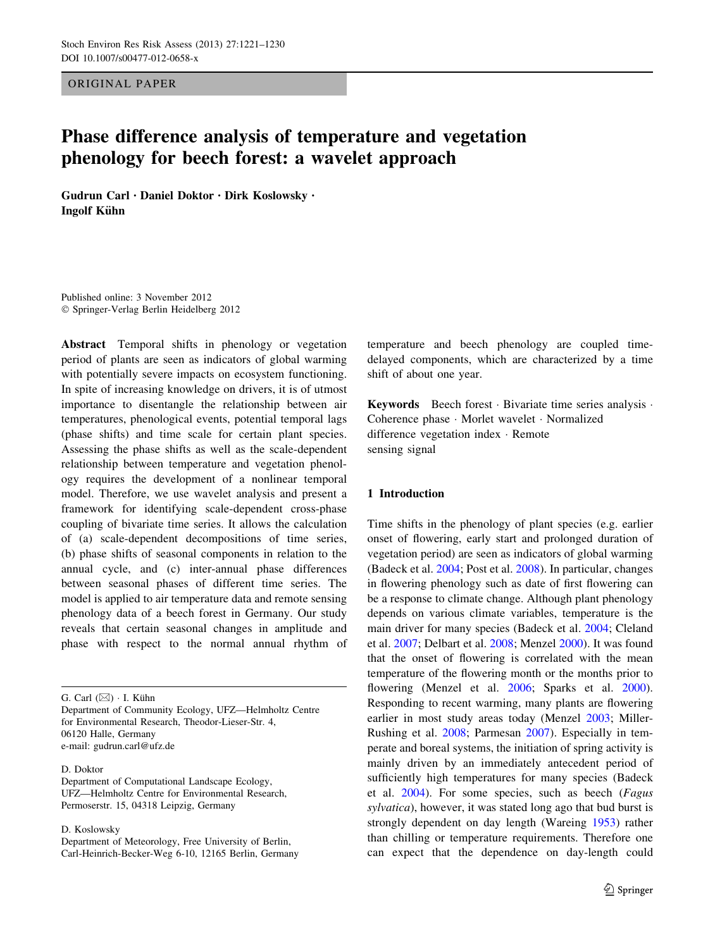ORIGINAL PAPER

# Phase difference analysis of temperature and vegetation phenology for beech forest: a wavelet approach

Gudrun Carl • Daniel Doktor • Dirk Koslowsky • Ingolf Kühn

Published online: 3 November 2012 - Springer-Verlag Berlin Heidelberg 2012

Abstract Temporal shifts in phenology or vegetation period of plants are seen as indicators of global warming with potentially severe impacts on ecosystem functioning. In spite of increasing knowledge on drivers, it is of utmost importance to disentangle the relationship between air temperatures, phenological events, potential temporal lags (phase shifts) and time scale for certain plant species. Assessing the phase shifts as well as the scale-dependent relationship between temperature and vegetation phenology requires the development of a nonlinear temporal model. Therefore, we use wavelet analysis and present a framework for identifying scale-dependent cross-phase coupling of bivariate time series. It allows the calculation of (a) scale-dependent decompositions of time series, (b) phase shifts of seasonal components in relation to the annual cycle, and (c) inter-annual phase differences between seasonal phases of different time series. The model is applied to air temperature data and remote sensing phenology data of a beech forest in Germany. Our study reveals that certain seasonal changes in amplitude and phase with respect to the normal annual rhythm of

G. Carl  $(\boxtimes) \cdot$  I. Kühn

Department of Community Ecology, UFZ—Helmholtz Centre for Environmental Research, Theodor-Lieser-Str. 4, 06120 Halle, Germany e-mail: gudrun.carl@ufz.de

D. Doktor

Department of Computational Landscape Ecology, UFZ—Helmholtz Centre for Environmental Research, Permoserstr. 15, 04318 Leipzig, Germany

D. Koslowsky

Department of Meteorology, Free University of Berlin, Carl-Heinrich-Becker-Weg 6-10, 12165 Berlin, Germany temperature and beech phenology are coupled timedelayed components, which are characterized by a time shift of about one year.

Keywords Beech forest · Bivariate time series analysis · Coherence phase - Morlet wavelet - Normalized difference vegetation index - Remote sensing signal

### 1 Introduction

Time shifts in the phenology of plant species (e.g. earlier onset of flowering, early start and prolonged duration of vegetation period) are seen as indicators of global warming (Badeck et al. [2004;](#page-8-0) Post et al. [2008\)](#page-9-0). In particular, changes in flowering phenology such as date of first flowering can be a response to climate change. Although plant phenology depends on various climate variables, temperature is the main driver for many species (Badeck et al. [2004](#page-8-0); Cleland et al. [2007](#page-9-0); Delbart et al. [2008](#page-9-0); Menzel [2000\)](#page-9-0). It was found that the onset of flowering is correlated with the mean temperature of the flowering month or the months prior to flowering (Menzel et al. [2006](#page-9-0); Sparks et al. [2000](#page-9-0)). Responding to recent warming, many plants are flowering earlier in most study areas today (Menzel [2003;](#page-9-0) Miller-Rushing et al. [2008;](#page-9-0) Parmesan [2007](#page-9-0)). Especially in temperate and boreal systems, the initiation of spring activity is mainly driven by an immediately antecedent period of sufficiently high temperatures for many species (Badeck et al. [2004](#page-8-0)). For some species, such as beech (Fagus sylvatica), however, it was stated long ago that bud burst is strongly dependent on day length (Wareing [1953](#page-9-0)) rather than chilling or temperature requirements. Therefore one can expect that the dependence on day-length could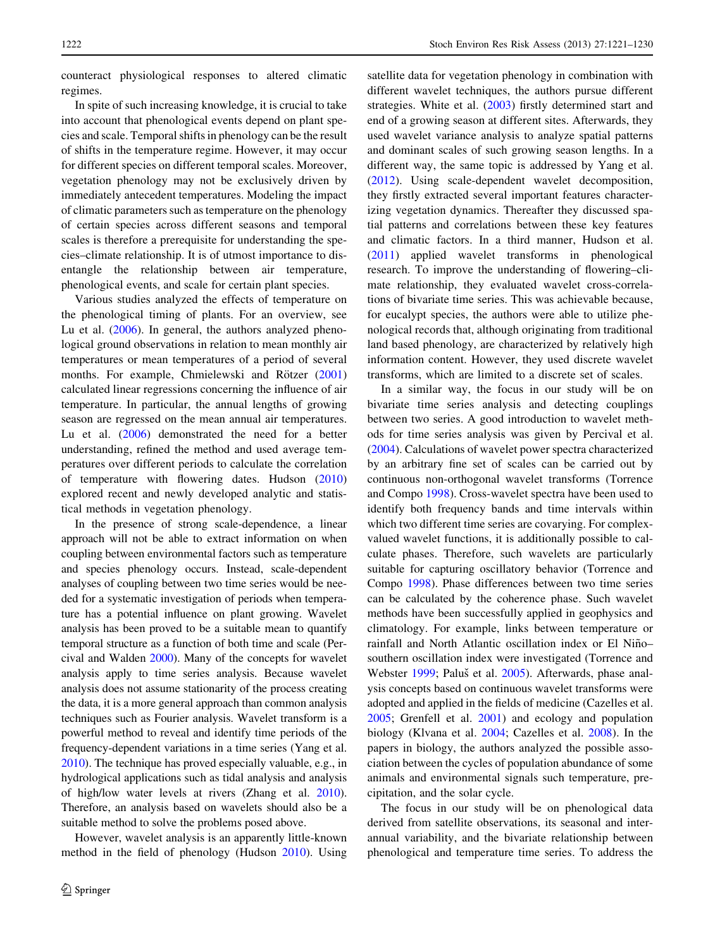counteract physiological responses to altered climatic regimes.

In spite of such increasing knowledge, it is crucial to take into account that phenological events depend on plant species and scale. Temporal shifts in phenology can be the result of shifts in the temperature regime. However, it may occur for different species on different temporal scales. Moreover, vegetation phenology may not be exclusively driven by immediately antecedent temperatures. Modeling the impact of climatic parameters such as temperature on the phenology of certain species across different seasons and temporal scales is therefore a prerequisite for understanding the species–climate relationship. It is of utmost importance to disentangle the relationship between air temperature, phenological events, and scale for certain plant species.

Various studies analyzed the effects of temperature on the phenological timing of plants. For an overview, see Lu et al. [\(2006](#page-9-0)). In general, the authors analyzed phenological ground observations in relation to mean monthly air temperatures or mean temperatures of a period of several months. For example, Chmielewski and Rötzer ([2001\)](#page-9-0) calculated linear regressions concerning the influence of air temperature. In particular, the annual lengths of growing season are regressed on the mean annual air temperatures. Lu et al. [\(2006](#page-9-0)) demonstrated the need for a better understanding, refined the method and used average temperatures over different periods to calculate the correlation of temperature with flowering dates. Hudson ([2010\)](#page-9-0) explored recent and newly developed analytic and statistical methods in vegetation phenology.

In the presence of strong scale-dependence, a linear approach will not be able to extract information on when coupling between environmental factors such as temperature and species phenology occurs. Instead, scale-dependent analyses of coupling between two time series would be needed for a systematic investigation of periods when temperature has a potential influence on plant growing. Wavelet analysis has been proved to be a suitable mean to quantify temporal structure as a function of both time and scale (Percival and Walden [2000](#page-9-0)). Many of the concepts for wavelet analysis apply to time series analysis. Because wavelet analysis does not assume stationarity of the process creating the data, it is a more general approach than common analysis techniques such as Fourier analysis. Wavelet transform is a powerful method to reveal and identify time periods of the frequency-dependent variations in a time series (Yang et al. [2010\)](#page-9-0). The technique has proved especially valuable, e.g., in hydrological applications such as tidal analysis and analysis of high/low water levels at rivers (Zhang et al. [2010](#page-9-0)). Therefore, an analysis based on wavelets should also be a suitable method to solve the problems posed above.

However, wavelet analysis is an apparently little-known method in the field of phenology (Hudson [2010](#page-9-0)). Using satellite data for vegetation phenology in combination with different wavelet techniques, the authors pursue different strategies. White et al. [\(2003](#page-9-0)) firstly determined start and end of a growing season at different sites. Afterwards, they used wavelet variance analysis to analyze spatial patterns and dominant scales of such growing season lengths. In a different way, the same topic is addressed by Yang et al. [\(2012](#page-9-0)). Using scale-dependent wavelet decomposition, they firstly extracted several important features characterizing vegetation dynamics. Thereafter they discussed spatial patterns and correlations between these key features and climatic factors. In a third manner, Hudson et al. [\(2011](#page-9-0)) applied wavelet transforms in phenological research. To improve the understanding of flowering–climate relationship, they evaluated wavelet cross-correlations of bivariate time series. This was achievable because, for eucalypt species, the authors were able to utilize phenological records that, although originating from traditional land based phenology, are characterized by relatively high information content. However, they used discrete wavelet transforms, which are limited to a discrete set of scales.

In a similar way, the focus in our study will be on bivariate time series analysis and detecting couplings between two series. A good introduction to wavelet methods for time series analysis was given by Percival et al. [\(2004](#page-9-0)). Calculations of wavelet power spectra characterized by an arbitrary fine set of scales can be carried out by continuous non-orthogonal wavelet transforms (Torrence and Compo [1998\)](#page-9-0). Cross-wavelet spectra have been used to identify both frequency bands and time intervals within which two different time series are covarying. For complexvalued wavelet functions, it is additionally possible to calculate phases. Therefore, such wavelets are particularly suitable for capturing oscillatory behavior (Torrence and Compo [1998](#page-9-0)). Phase differences between two time series can be calculated by the coherence phase. Such wavelet methods have been successfully applied in geophysics and climatology. For example, links between temperature or rainfall and North Atlantic oscillation index or El Niñosouthern oscillation index were investigated (Torrence and Webster [1999;](#page-9-0) Paluš et al. [2005\)](#page-9-0). Afterwards, phase analysis concepts based on continuous wavelet transforms were adopted and applied in the fields of medicine (Cazelles et al. [2005](#page-9-0); Grenfell et al. [2001](#page-9-0)) and ecology and population biology (Klvana et al. [2004](#page-9-0); Cazelles et al. [2008](#page-9-0)). In the papers in biology, the authors analyzed the possible association between the cycles of population abundance of some animals and environmental signals such temperature, precipitation, and the solar cycle.

The focus in our study will be on phenological data derived from satellite observations, its seasonal and interannual variability, and the bivariate relationship between phenological and temperature time series. To address the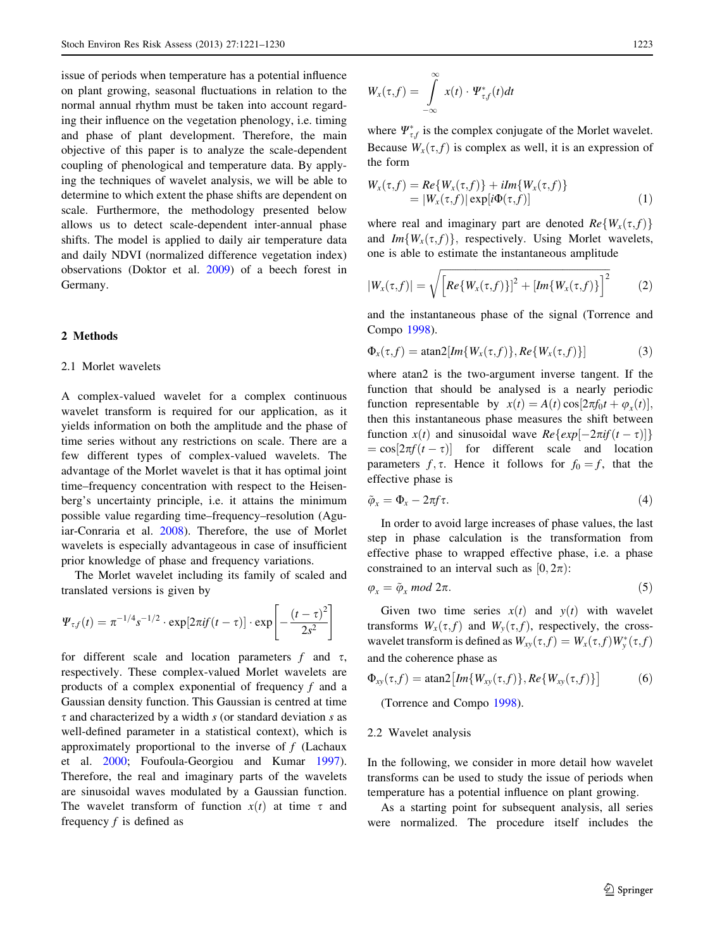<span id="page-2-0"></span>issue of periods when temperature has a potential influence on plant growing, seasonal fluctuations in relation to the normal annual rhythm must be taken into account regarding their influence on the vegetation phenology, i.e. timing and phase of plant development. Therefore, the main objective of this paper is to analyze the scale-dependent coupling of phenological and temperature data. By applying the techniques of wavelet analysis, we will be able to determine to which extent the phase shifts are dependent on scale. Furthermore, the methodology presented below allows us to detect scale-dependent inter-annual phase shifts. The model is applied to daily air temperature data and daily NDVI (normalized difference vegetation index) observations (Doktor et al. [2009\)](#page-9-0) of a beech forest in Germany.

## 2 Methods

#### 2.1 Morlet wavelets

A complex-valued wavelet for a complex continuous wavelet transform is required for our application, as it yields information on both the amplitude and the phase of time series without any restrictions on scale. There are a few different types of complex-valued wavelets. The advantage of the Morlet wavelet is that it has optimal joint time–frequency concentration with respect to the Heisenberg's uncertainty principle, i.e. it attains the minimum possible value regarding time–frequency–resolution (Aguiar-Conraria et al. [2008](#page-8-0)). Therefore, the use of Morlet wavelets is especially advantageous in case of insufficient prior knowledge of phase and frequency variations.

The Morlet wavelet including its family of scaled and translated versions is given by

$$
\Psi_{\tau,f}(t) = \pi^{-1/4} s^{-1/2} \cdot \exp[2\pi i f(t-\tau)] \cdot \exp\left[-\frac{(t-\tau)^2}{2s^2}\right]
$$

for different scale and location parameters f and  $\tau$ , respectively. These complex-valued Morlet wavelets are products of a complex exponential of frequency  $f$  and a Gaussian density function. This Gaussian is centred at time  $\tau$  and characterized by a width s (or standard deviation s as well-defined parameter in a statistical context), which is approximately proportional to the inverse of  $f$  (Lachaux et al. [2000;](#page-9-0) Foufoula-Georgiou and Kumar [1997](#page-9-0)). Therefore, the real and imaginary parts of the wavelets are sinusoidal waves modulated by a Gaussian function. The wavelet transform of function  $x(t)$  at time  $\tau$  and frequency  $f$  is defined as

where  $\Psi_{\tau,f}^*$  is the complex conjugate of the Morlet wavelet. Because  $W_x(\tau, f)$  is complex as well, it is an expression of the form

$$
W_x(\tau, f) = Re\{W_x(\tau, f)\} + iIm\{W_x(\tau, f)\}
$$
  
= |W\_x(\tau, f)| exp[i\Phi(\tau, f)] (1)

where real and imaginary part are denoted  $Re\{W_x(\tau,f)\}$ and  $Im{W_x(\tau, f)}$ , respectively. Using Morlet wavelets, one is able to estimate the instantaneous amplitude

$$
|W_x(\tau,f)| = \sqrt{\left[Re\{W_x(\tau,f)\}\right]^2 + \left[Im\{W_x(\tau,f)\}\right]^2} \tag{2}
$$

and the instantaneous phase of the signal (Torrence and Compo [1998\)](#page-9-0).

$$
\Phi_x(\tau, f) = \operatorname{atan2}[Im\{W_x(\tau, f)\}, Re\{W_x(\tau, f)\}] \tag{3}
$$

where atan2 is the two-argument inverse tangent. If the function that should be analysed is a nearly periodic function representable by  $x(t) = A(t) \cos[2\pi f_0 t + \varphi_x(t)],$ then this instantaneous phase measures the shift between function  $x(t)$  and sinusoidal wave  $Re\{\exp[-2\pi i f(t-\tau)]\}$  $= cos[2\pi f(t-\tau)]$  for different scale and location parameters  $f, \tau$ . Hence it follows for  $f_0 = f$ , that the effective phase is

$$
\tilde{\varphi}_x = \Phi_x - 2\pi f \tau. \tag{4}
$$

In order to avoid large increases of phase values, the last step in phase calculation is the transformation from effective phase to wrapped effective phase, i.e. a phase constrained to an interval such as  $[0, 2\pi)$ :

$$
\varphi_x = \tilde{\varphi}_x \bmod 2\pi. \tag{5}
$$

Given two time series  $x(t)$  and  $y(t)$  with wavelet transforms  $W_x(\tau, f)$  and  $W_y(\tau, f)$ , respectively, the crosswavelet transform is defined as  $W_{xy}(\tau, f) = W_x(\tau, f) W_y^*(\tau, f)$ and the coherence phase as

$$
\Phi_{xy}(\tau, f) = \operatorname{atan2}\left[Im\{W_{xy}(\tau, f)\}, Re\{W_{xy}(\tau, f)\}\right] \tag{6}
$$

(Torrence and Compo [1998\)](#page-9-0).

#### 2.2 Wavelet analysis

In the following, we consider in more detail how wavelet transforms can be used to study the issue of periods when temperature has a potential influence on plant growing.

As a starting point for subsequent analysis, all series were normalized. The procedure itself includes the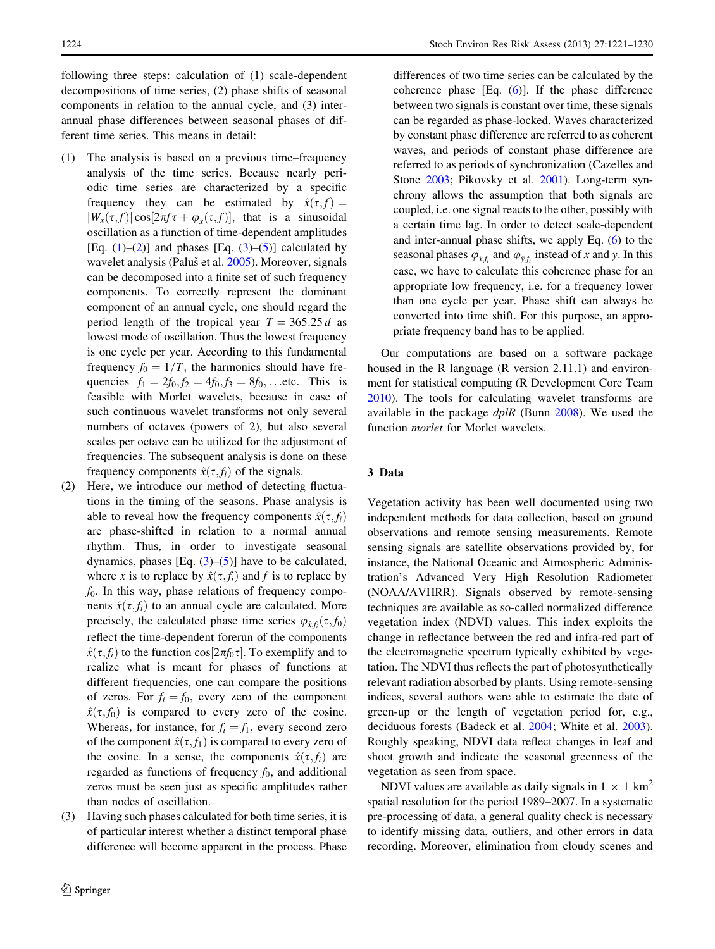following three steps: calculation of (1) scale-dependent decompositions of time series, (2) phase shifts of seasonal components in relation to the annual cycle, and (3) interannual phase differences between seasonal phases of different time series. This means in detail:

- (1) The analysis is based on a previous time–frequency analysis of the time series. Because nearly periodic time series are characterized by a specific frequency they can be estimated by  $\hat{x}(\tau, f) =$  $|W_r(\tau, f)| \cos[2\pi f \tau + \varphi_r(\tau, f)]$ , that is a sinusoidal oscillation as a function of time-dependent amplitudes [Eq.  $(1)$  $(1)$ – $(2)$  $(2)$ ] and phases [Eq.  $(3)$  $(3)$ – $(5)$  $(5)$ ] calculated by wavelet analysis (Paluš et al. [2005](#page-9-0)). Moreover, signals can be decomposed into a finite set of such frequency components. To correctly represent the dominant component of an annual cycle, one should regard the period length of the tropical year  $T = 365.25 d$  as lowest mode of oscillation. Thus the lowest frequency is one cycle per year. According to this fundamental frequency  $f_0 = 1/T$ , the harmonics should have frequencies  $f_1 = 2f_0, f_2 = 4f_0, f_3 = 8f_0, \dots$  etc. This is feasible with Morlet wavelets, because in case of such continuous wavelet transforms not only several numbers of octaves (powers of 2), but also several scales per octave can be utilized for the adjustment of frequencies. The subsequent analysis is done on these frequency components  $\hat{x}(\tau, f_i)$  of the signals.
- (2) Here, we introduce our method of detecting fluctuations in the timing of the seasons. Phase analysis is able to reveal how the frequency components  $\hat{x}(\tau, f_i)$ are phase-shifted in relation to a normal annual rhythm. Thus, in order to investigate seasonal dynamics, phases [Eq.  $(3)$  $(3)$ – $(5)$  $(5)$ ] have to be calculated, where x is to replace by  $\hat{x}(\tau, f_i)$  and f is to replace by  $f_0$ . In this way, phase relations of frequency components  $\hat{x}(\tau, f_i)$  to an annual cycle are calculated. More precisely, the calculated phase time series  $\varphi_{\hat{x},f_i}(\tau,f_0)$ reflect the time-dependent forerun of the components  $\hat{x}(\tau, f_i)$  to the function cos  $[2\pi f_0 \tau]$ . To exemplify and to realize what is meant for phases of functions at different frequencies, one can compare the positions of zeros. For  $f_i = f_0$ , every zero of the component  $\hat{x}(\tau, f_0)$  is compared to every zero of the cosine. Whereas, for instance, for  $f_i = f_1$ , every second zero of the component  $\hat{x}(\tau, f_1)$  is compared to every zero of the cosine. In a sense, the components  $\hat{x}(\tau, f_i)$  are regarded as functions of frequency  $f_0$ , and additional zeros must be seen just as specific amplitudes rather than nodes of oscillation.
- (3) Having such phases calculated for both time series, it is of particular interest whether a distinct temporal phase difference will become apparent in the process. Phase

differences of two time series can be calculated by the coherence phase [Eq. [\(6\)](#page-2-0)]. If the phase difference between two signals is constant over time, these signals can be regarded as phase-locked. Waves characterized by constant phase difference are referred to as coherent waves, and periods of constant phase difference are referred to as periods of synchronization (Cazelles and Stone [2003;](#page-9-0) Pikovsky et al. [2001\)](#page-9-0). Long-term synchrony allows the assumption that both signals are coupled, i.e. one signal reacts to the other, possibly with a certain time lag. In order to detect scale-dependent and inter-annual phase shifts, we apply Eq. ([6\)](#page-2-0) to the seasonal phases  $\varphi_{\hat{x},f_i}$  and  $\varphi_{\hat{y},f_i}$  instead of x and y. In this case, we have to calculate this coherence phase for an appropriate low frequency, i.e. for a frequency lower than one cycle per year. Phase shift can always be converted into time shift. For this purpose, an appropriate frequency band has to be applied.

Our computations are based on a software package housed in the R language (R version 2.11.1) and environment for statistical computing (R Development Core Team [2010](#page-9-0)). The tools for calculating wavelet transforms are available in the package dplR (Bunn [2008](#page-8-0)). We used the function morlet for Morlet wavelets.

#### 3 Data

Vegetation activity has been well documented using two independent methods for data collection, based on ground observations and remote sensing measurements. Remote sensing signals are satellite observations provided by, for instance, the National Oceanic and Atmospheric Administration's Advanced Very High Resolution Radiometer (NOAA/AVHRR). Signals observed by remote-sensing techniques are available as so-called normalized difference vegetation index (NDVI) values. This index exploits the change in reflectance between the red and infra-red part of the electromagnetic spectrum typically exhibited by vegetation. The NDVI thus reflects the part of photosynthetically relevant radiation absorbed by plants. Using remote-sensing indices, several authors were able to estimate the date of green-up or the length of vegetation period for, e.g., deciduous forests (Badeck et al. [2004;](#page-8-0) White et al. [2003](#page-9-0)). Roughly speaking, NDVI data reflect changes in leaf and shoot growth and indicate the seasonal greenness of the vegetation as seen from space.

NDVI values are available as daily signals in  $1 \times 1$  km<sup>2</sup> spatial resolution for the period 1989–2007. In a systematic pre-processing of data, a general quality check is necessary to identify missing data, outliers, and other errors in data recording. Moreover, elimination from cloudy scenes and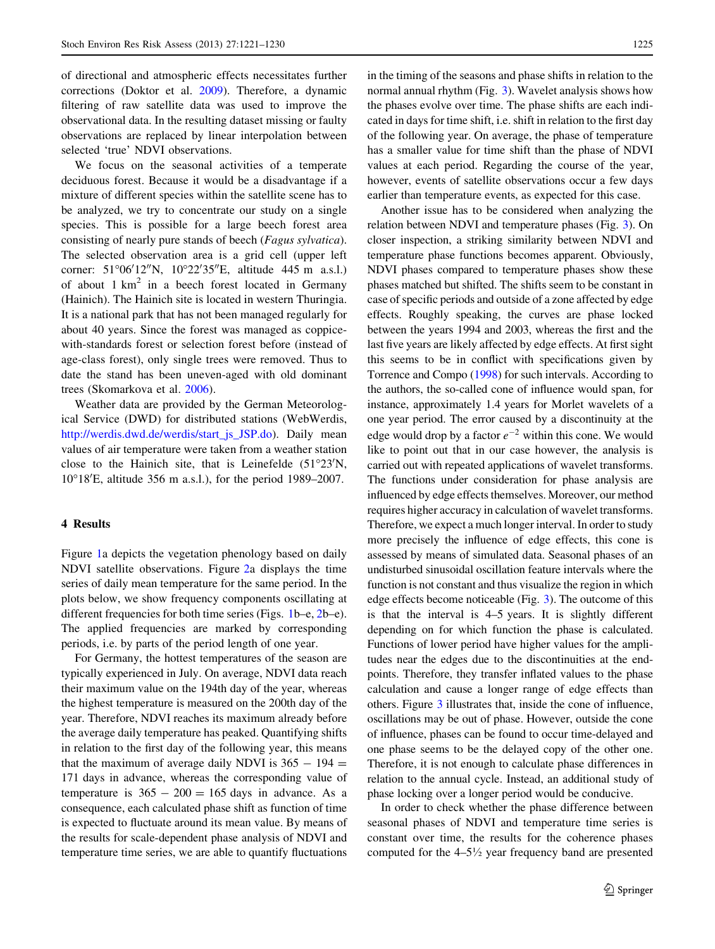of directional and atmospheric effects necessitates further corrections (Doktor et al. [2009\)](#page-9-0). Therefore, a dynamic filtering of raw satellite data was used to improve the observational data. In the resulting dataset missing or faulty observations are replaced by linear interpolation between selected 'true' NDVI observations.

We focus on the seasonal activities of a temperate deciduous forest. Because it would be a disadvantage if a mixture of different species within the satellite scene has to be analyzed, we try to concentrate our study on a single species. This is possible for a large beech forest area consisting of nearly pure stands of beech (Fagus sylvatica). The selected observation area is a grid cell (upper left corner: 51°06'12"N, 10°22'35"E, altitude 445 m a.s.l.) of about  $1 \text{ km}^2$  in a beech forest located in Germany (Hainich). The Hainich site is located in western Thuringia. It is a national park that has not been managed regularly for about 40 years. Since the forest was managed as coppicewith-standards forest or selection forest before (instead of age-class forest), only single trees were removed. Thus to date the stand has been uneven-aged with old dominant trees (Skomarkova et al. [2006](#page-9-0)).

Weather data are provided by the German Meteorological Service (DWD) for distributed stations (WebWerdis, [http://werdis.dwd.de/werdis/start\\_js\\_JSP.do\)](http://werdis.dwd.de/werdis/start_js_JSP.do). Daily mean values of air temperature were taken from a weather station close to the Hainich site, that is Leinefelde  $(51^{\circ}23'N,$ 10°18'E, altitude 356 m a.s.l.), for the period 1989-2007.

## 4 Results

Figure [1](#page-5-0)a depicts the vegetation phenology based on daily NDVI satellite observations. Figure [2](#page-6-0)a displays the time series of daily mean temperature for the same period. In the plots below, we show frequency components oscillating at different frequencies for both time series (Figs. [1b](#page-5-0)–e, [2b](#page-6-0)–e). The applied frequencies are marked by corresponding periods, i.e. by parts of the period length of one year.

For Germany, the hottest temperatures of the season are typically experienced in July. On average, NDVI data reach their maximum value on the 194th day of the year, whereas the highest temperature is measured on the 200th day of the year. Therefore, NDVI reaches its maximum already before the average daily temperature has peaked. Quantifying shifts in relation to the first day of the following year, this means that the maximum of average daily NDVI is  $365 - 194 =$ 171 days in advance, whereas the corresponding value of temperature is  $365 - 200 = 165$  days in advance. As a consequence, each calculated phase shift as function of time is expected to fluctuate around its mean value. By means of the results for scale-dependent phase analysis of NDVI and temperature time series, we are able to quantify fluctuations in the timing of the seasons and phase shifts in relation to the normal annual rhythm (Fig. [3](#page-7-0)). Wavelet analysis shows how the phases evolve over time. The phase shifts are each indicated in days for time shift, i.e. shift in relation to the first day of the following year. On average, the phase of temperature has a smaller value for time shift than the phase of NDVI values at each period. Regarding the course of the year, however, events of satellite observations occur a few days earlier than temperature events, as expected for this case.

Another issue has to be considered when analyzing the relation between NDVI and temperature phases (Fig. [3\)](#page-7-0). On closer inspection, a striking similarity between NDVI and temperature phase functions becomes apparent. Obviously, NDVI phases compared to temperature phases show these phases matched but shifted. The shifts seem to be constant in case of specific periods and outside of a zone affected by edge effects. Roughly speaking, the curves are phase locked between the years 1994 and 2003, whereas the first and the last five years are likely affected by edge effects. At first sight this seems to be in conflict with specifications given by Torrence and Compo [\(1998\)](#page-9-0) for such intervals. According to the authors, the so-called cone of influence would span, for instance, approximately 1.4 years for Morlet wavelets of a one year period. The error caused by a discontinuity at the edge would drop by a factor  $e^{-2}$  within this cone. We would like to point out that in our case however, the analysis is carried out with repeated applications of wavelet transforms. The functions under consideration for phase analysis are influenced by edge effects themselves. Moreover, our method requires higher accuracy in calculation of wavelet transforms. Therefore, we expect a much longer interval. In order to study more precisely the influence of edge effects, this cone is assessed by means of simulated data. Seasonal phases of an undisturbed sinusoidal oscillation feature intervals where the function is not constant and thus visualize the region in which edge effects become noticeable (Fig. [3\)](#page-7-0). The outcome of this is that the interval is 4–5 years. It is slightly different depending on for which function the phase is calculated. Functions of lower period have higher values for the amplitudes near the edges due to the discontinuities at the endpoints. Therefore, they transfer inflated values to the phase calculation and cause a longer range of edge effects than others. Figure [3](#page-7-0) illustrates that, inside the cone of influence, oscillations may be out of phase. However, outside the cone of influence, phases can be found to occur time-delayed and one phase seems to be the delayed copy of the other one. Therefore, it is not enough to calculate phase differences in relation to the annual cycle. Instead, an additional study of phase locking over a longer period would be conducive.

In order to check whether the phase difference between seasonal phases of NDVI and temperature time series is constant over time, the results for the coherence phases computed for the  $4-5\frac{1}{2}$  year frequency band are presented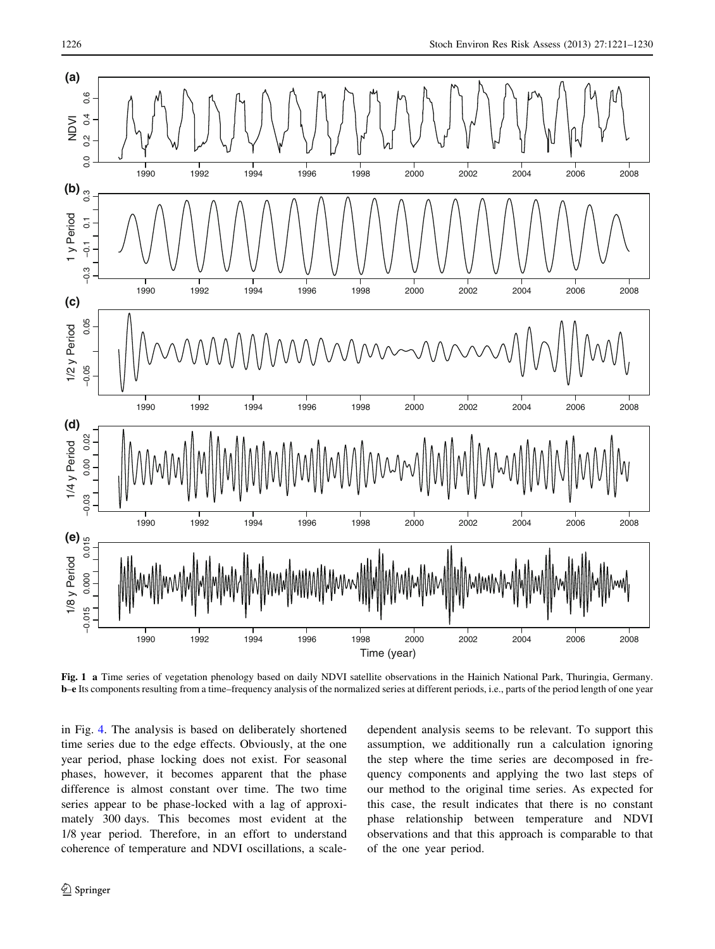<span id="page-5-0"></span>

Fig. 1 a Time series of vegetation phenology based on daily NDVI satellite observations in the Hainich National Park, Thuringia, Germany. b–e Its components resulting from a time–frequency analysis of the normalized series at different periods, i.e., parts of the period length of one year

in Fig. [4.](#page-7-0) The analysis is based on deliberately shortened time series due to the edge effects. Obviously, at the one year period, phase locking does not exist. For seasonal phases, however, it becomes apparent that the phase difference is almost constant over time. The two time series appear to be phase-locked with a lag of approximately 300 days. This becomes most evident at the 1/8 year period. Therefore, in an effort to understand coherence of temperature and NDVI oscillations, a scaledependent analysis seems to be relevant. To support this assumption, we additionally run a calculation ignoring the step where the time series are decomposed in frequency components and applying the two last steps of our method to the original time series. As expected for this case, the result indicates that there is no constant phase relationship between temperature and NDVI observations and that this approach is comparable to that of the one year period.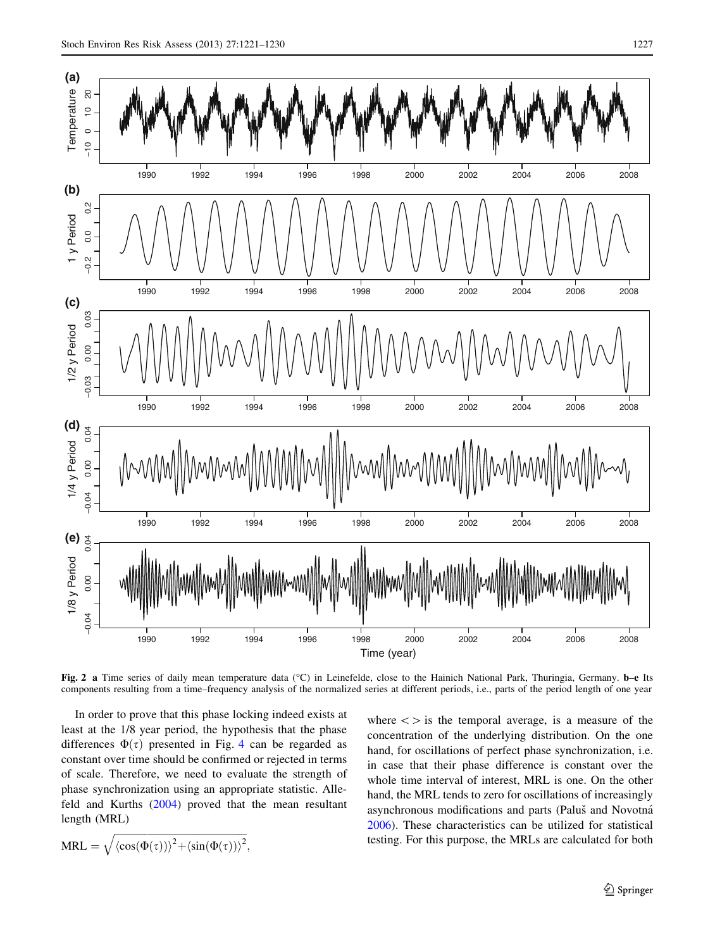<span id="page-6-0"></span>

Fig. 2 a Time series of daily mean temperature data (°C) in Leinefelde, close to the Hainich National Park, Thuringia, Germany. b-e Its components resulting from a time–frequency analysis of the normalized series at different periods, i.e., parts of the period length of one year

In order to prove that this phase locking indeed exists at least at the 1/8 year period, the hypothesis that the phase differences  $\Phi(\tau)$  presented in Fig. [4](#page-7-0) can be regarded as constant over time should be confirmed or rejected in terms of scale. Therefore, we need to evaluate the strength of phase synchronization using an appropriate statistic. Allefeld and Kurths ([2004\)](#page-8-0) proved that the mean resultant length (MRL)

$$
MRL = \sqrt{\langle \cos(\Phi(\tau)) \rangle^2 + \langle \sin(\Phi(\tau)) \rangle^2},
$$

where  $\langle \rangle$  is the temporal average, is a measure of the concentration of the underlying distribution. On the one hand, for oscillations of perfect phase synchronization, i.e. in case that their phase difference is constant over the whole time interval of interest, MRL is one. On the other hand, the MRL tends to zero for oscillations of increasingly asynchronous modifications and parts (Paluš and Novotná [2006](#page-9-0)). These characteristics can be utilized for statistical testing. For this purpose, the MRLs are calculated for both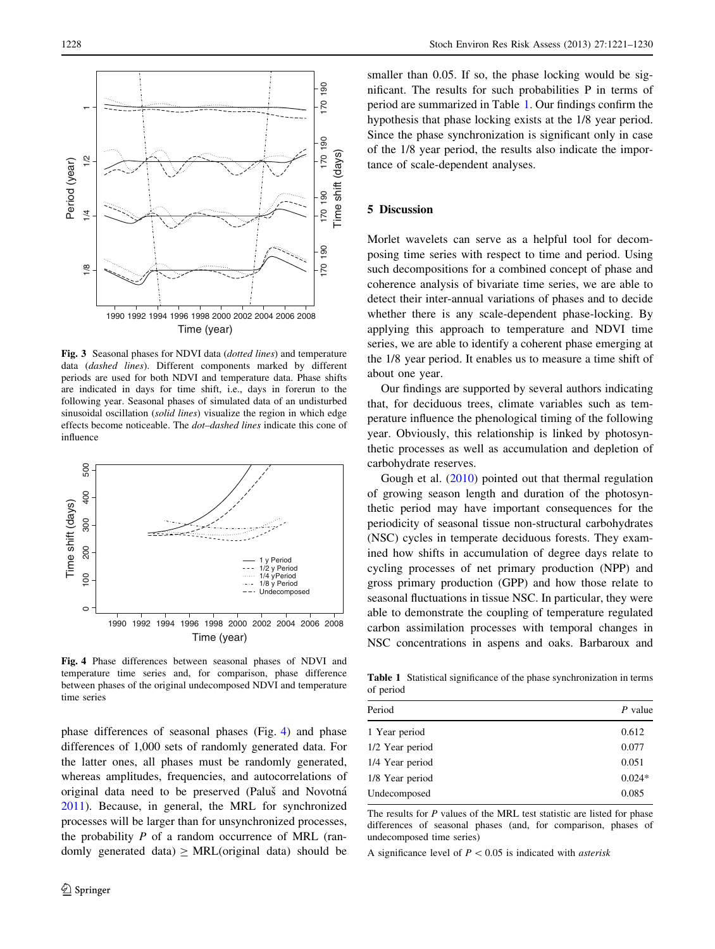<span id="page-7-0"></span>

Fig. 3 Seasonal phases for NDVI data (dotted lines) and temperature data (dashed lines). Different components marked by different periods are used for both NDVI and temperature data. Phase shifts are indicated in days for time shift, i.e., days in forerun to the following year. Seasonal phases of simulated data of an undisturbed sinusoidal oscillation (solid lines) visualize the region in which edge effects become noticeable. The dot–dashed lines indicate this cone of influence



Fig. 4 Phase differences between seasonal phases of NDVI and temperature time series and, for comparison, phase difference between phases of the original undecomposed NDVI and temperature time series

phase differences of seasonal phases (Fig. 4) and phase differences of 1,000 sets of randomly generated data. For the latter ones, all phases must be randomly generated, whereas amplitudes, frequencies, and autocorrelations of original data need to be preserved (Paluš and Novotná [2011\)](#page-9-0). Because, in general, the MRL for synchronized processes will be larger than for unsynchronized processes, the probability  $P$  of a random occurrence of MRL (randomly generated data)  $\geq MRL$ (original data) should be

smaller than 0.05. If so, the phase locking would be significant. The results for such probabilities P in terms of period are summarized in Table 1. Our findings confirm the hypothesis that phase locking exists at the 1/8 year period. Since the phase synchronization is significant only in case of the 1/8 year period, the results also indicate the importance of scale-dependent analyses.

## 5 Discussion

Morlet wavelets can serve as a helpful tool for decomposing time series with respect to time and period. Using such decompositions for a combined concept of phase and coherence analysis of bivariate time series, we are able to detect their inter-annual variations of phases and to decide whether there is any scale-dependent phase-locking. By applying this approach to temperature and NDVI time series, we are able to identify a coherent phase emerging at the 1/8 year period. It enables us to measure a time shift of about one year.

Our findings are supported by several authors indicating that, for deciduous trees, climate variables such as temperature influence the phenological timing of the following year. Obviously, this relationship is linked by photosynthetic processes as well as accumulation and depletion of carbohydrate reserves.

Gough et al. ([2010\)](#page-9-0) pointed out that thermal regulation of growing season length and duration of the photosynthetic period may have important consequences for the periodicity of seasonal tissue non-structural carbohydrates (NSC) cycles in temperate deciduous forests. They examined how shifts in accumulation of degree days relate to cycling processes of net primary production (NPP) and gross primary production (GPP) and how those relate to seasonal fluctuations in tissue NSC. In particular, they were able to demonstrate the coupling of temperature regulated carbon assimilation processes with temporal changes in NSC concentrations in aspens and oaks. Barbaroux and

Table 1 Statistical significance of the phase synchronization in terms of period

| Period          | P value  |
|-----------------|----------|
| 1 Year period   | 0.612    |
| 1/2 Year period | 0.077    |
| 1/4 Year period | 0.051    |
| 1/8 Year period | $0.024*$ |
| Undecomposed    | 0.085    |

The results for  $P$  values of the MRL test statistic are listed for phase differences of seasonal phases (and, for comparison, phases of undecomposed time series)

A significance level of  $P < 0.05$  is indicated with *asterisk*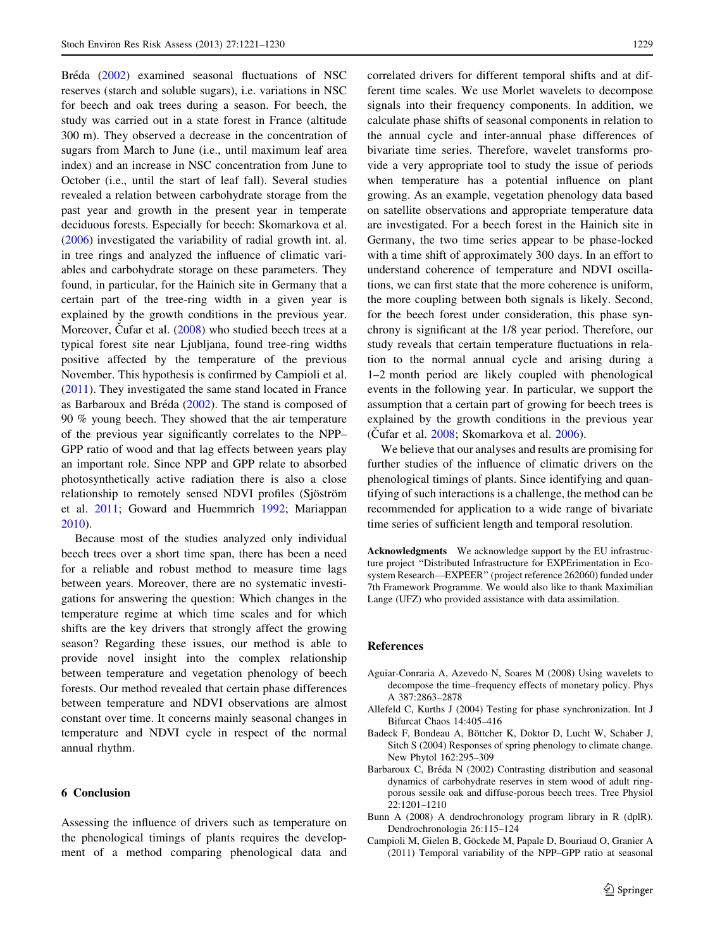<span id="page-8-0"></span>Bréda (2002) examined seasonal fluctuations of NSC reserves (starch and soluble sugars), i.e. variations in NSC for beech and oak trees during a season. For beech, the study was carried out in a state forest in France (altitude 300 m). They observed a decrease in the concentration of sugars from March to June (i.e., until maximum leaf area index) and an increase in NSC concentration from June to October (i.e., until the start of leaf fall). Several studies revealed a relation between carbohydrate storage from the past year and growth in the present year in temperate deciduous forests. Especially for beech: Skomarkova et al. [\(2006](#page-9-0)) investigated the variability of radial growth int. al. in tree rings and analyzed the influence of climatic variables and carbohydrate storage on these parameters. They found, in particular, for the Hainich site in Germany that a certain part of the tree-ring width in a given year is explained by the growth conditions in the previous year. Moreover, Cufar et al.  $(2008)$  $(2008)$  who studied beech trees at a typical forest site near Ljubljana, found tree-ring widths positive affected by the temperature of the previous November. This hypothesis is confirmed by Campioli et al. (2011). They investigated the same stand located in France as Barbaroux and Bréda  $(2002)$ . The stand is composed of 90 % young beech. They showed that the air temperature of the previous year significantly correlates to the NPP– GPP ratio of wood and that lag effects between years play an important role. Since NPP and GPP relate to absorbed photosynthetically active radiation there is also a close relationship to remotely sensed NDVI profiles (Sjöström et al. [2011;](#page-9-0) Goward and Huemmrich [1992;](#page-9-0) Mariappan [2010\)](#page-9-0).

Because most of the studies analyzed only individual beech trees over a short time span, there has been a need for a reliable and robust method to measure time lags between years. Moreover, there are no systematic investigations for answering the question: Which changes in the temperature regime at which time scales and for which shifts are the key drivers that strongly affect the growing season? Regarding these issues, our method is able to provide novel insight into the complex relationship between temperature and vegetation phenology of beech forests. Our method revealed that certain phase differences between temperature and NDVI observations are almost constant over time. It concerns mainly seasonal changes in temperature and NDVI cycle in respect of the normal annual rhythm.

## 6 Conclusion

Assessing the influence of drivers such as temperature on the phenological timings of plants requires the development of a method comparing phenological data and correlated drivers for different temporal shifts and at different time scales. We use Morlet wavelets to decompose signals into their frequency components. In addition, we calculate phase shifts of seasonal components in relation to the annual cycle and inter-annual phase differences of bivariate time series. Therefore, wavelet transforms provide a very appropriate tool to study the issue of periods when temperature has a potential influence on plant growing. As an example, vegetation phenology data based on satellite observations and appropriate temperature data are investigated. For a beech forest in the Hainich site in Germany, the two time series appear to be phase-locked with a time shift of approximately 300 days. In an effort to understand coherence of temperature and NDVI oscillations, we can first state that the more coherence is uniform, the more coupling between both signals is likely. Second, for the beech forest under consideration, this phase synchrony is significant at the 1/8 year period. Therefore, our study reveals that certain temperature fluctuations in relation to the normal annual cycle and arising during a 1–2 month period are likely coupled with phenological events in the following year. In particular, we support the assumption that a certain part of growing for beech trees is explained by the growth conditions in the previous year (Cufar et al.  $2008$ ; Skomarkova et al.  $2006$ ).

We believe that our analyses and results are promising for further studies of the influence of climatic drivers on the phenological timings of plants. Since identifying and quantifying of such interactions is a challenge, the method can be recommended for application to a wide range of bivariate time series of sufficient length and temporal resolution.

Acknowledgments We acknowledge support by the EU infrastructure project ''Distributed Infrastructure for EXPErimentation in Ecosystem Research—EXPEER'' (project reference 262060) funded under 7th Framework Programme. We would also like to thank Maximilian Lange (UFZ) who provided assistance with data assimilation.

#### References

- Aguiar-Conraria A, Azevedo N, Soares M (2008) Using wavelets to decompose the time–frequency effects of monetary policy. Phys A 387:2863–2878
- Allefeld C, Kurths J (2004) Testing for phase synchronization. Int J Bifurcat Chaos 14:405–416
- Badeck F, Bondeau A, Böttcher K, Doktor D, Lucht W, Schaber J, Sitch S (2004) Responses of spring phenology to climate change. New Phytol 162:295–309
- Barbaroux C, Bréda N (2002) Contrasting distribution and seasonal dynamics of carbohydrate reserves in stem wood of adult ringporous sessile oak and diffuse-porous beech trees. Tree Physiol 22:1201–1210
- Bunn A (2008) A dendrochronology program library in R (dplR). Dendrochronologia 26:115–124
- Campioli M, Gielen B, Göckede M, Papale D, Bouriaud O, Granier A (2011) Temporal variability of the NPP–GPP ratio at seasonal